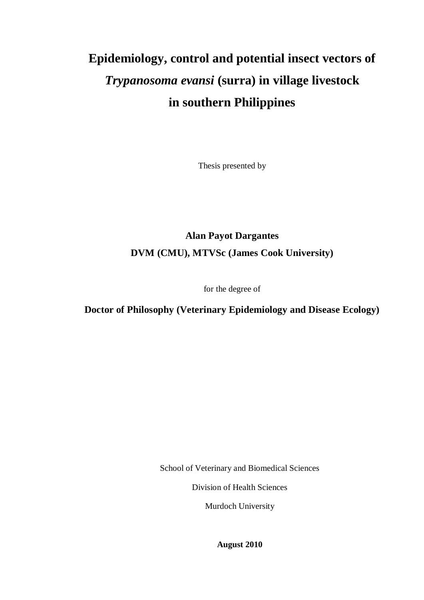# **Epidemiology, control and potential insect vectors of** *Trypanosoma evansi* **(surra) in village livestock in southern Philippines**

Thesis presented by

## **Alan Payot Dargantes DVM (CMU), MTVSc (James Cook University)**

for the degree of

### **Doctor of Philosophy (Veterinary Epidemiology and Disease Ecology)**

School of Veterinary and Biomedical Sciences

Division of Health Sciences

Murdoch University

**August 2010**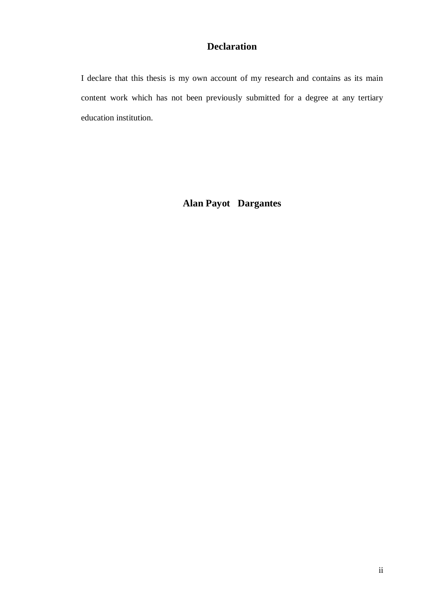### **Declaration**

<span id="page-1-0"></span>I declare that this thesis is my own account of my research and contains as its main content work which has not been previously submitted for a degree at any tertiary education institution.

**Alan Payot Dargantes**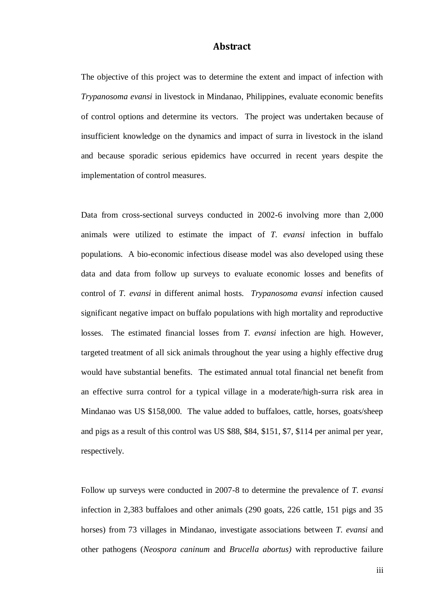#### **Abstract**

<span id="page-2-0"></span>The objective of this project was to determine the extent and impact of infection with *Trypanosoma evansi* in livestock in Mindanao, Philippines, evaluate economic benefits of control options and determine its vectors. The project was undertaken because of insufficient knowledge on the dynamics and impact of surra in livestock in the island and because sporadic serious epidemics have occurred in recent years despite the implementation of control measures.

Data from cross-sectional surveys conducted in 2002-6 involving more than 2,000 animals were utilized to estimate the impact of *T. evansi* infection in buffalo populations. A bio-economic infectious disease model was also developed using these data and data from follow up surveys to evaluate economic losses and benefits of control of *T. evansi* in different animal hosts. *Trypanosoma evansi* infection caused significant negative impact on buffalo populations with high mortality and reproductive losses. The estimated financial losses from *T. evansi* infection are high. However, targeted treatment of all sick animals throughout the year using a highly effective drug would have substantial benefits. The estimated annual total financial net benefit from an effective surra control for a typical village in a moderate/high-surra risk area in Mindanao was US \$158,000. The value added to buffaloes, cattle, horses, goats/sheep and pigs as a result of this control was US \$88, \$84, \$151, \$7, \$114 per animal per year, respectively.

Follow up surveys were conducted in 2007-8 to determine the prevalence of *T. evansi*  infection in 2,383 buffaloes and other animals (290 goats, 226 cattle, 151 pigs and 35 horses) from 73 villages in Mindanao, investigate associations between *T. evansi* and other pathogens (*Neospora caninum* and *Brucella abortus)* with reproductive failure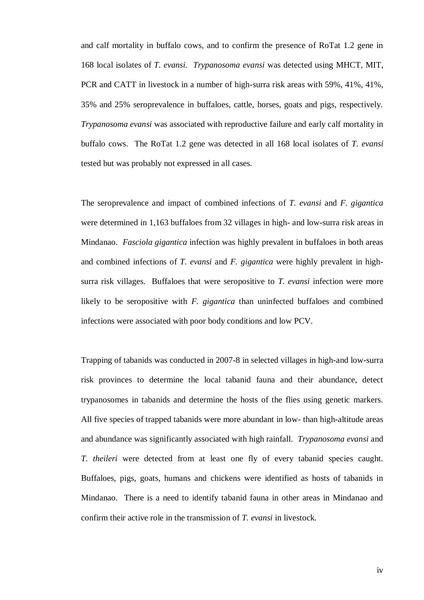and calf mortality in buffalo cows, and to confirm the presence of RoTat 1.2 gene in 168 local isolates of *T. evansi. Trypanosoma evansi* was detected using MHCT, MIT, PCR and CATT in livestock in a number of high-surra risk areas with 59%, 41%, 41%, 35% and 25% seroprevalence in buffaloes, cattle, horses, goats and pigs, respectively. *Trypanosoma evansi* was associated with reproductive failure and early calf mortality in buffalo cows. The RoTat 1.2 gene was detected in all 168 local isolates of *T. evansi* tested but was probably not expressed in all cases.

The seroprevalence and impact of combined infections of *T. evansi* and *F. gigantica*  were determined in 1,163 buffaloes from 32 villages in high- and low-surra risk areas in Mindanao. *Fasciola gigantica* infection was highly prevalent in buffaloes in both areas and combined infections of *T. evansi* and *F. gigantica* were highly prevalent in highsurra risk villages. Buffaloes that were seropositive to *T. evansi* infection were more likely to be seropositive with *F. gigantica* than uninfected buffaloes and combined infections were associated with poor body conditions and low PCV.

Trapping of tabanids was conducted in 2007-8 in selected villages in high-and low-surra risk provinces to determine the local tabanid fauna and their abundance, detect trypanosomes in tabanids and determine the hosts of the flies using genetic markers. All five species of trapped tabanids were more abundant in low- than high-altitude areas and abundance was significantly associated with high rainfall. *Trypanosoma evansi* and *T. theileri* were detected from at least one fly of every tabanid species caught. Buffaloes, pigs, goats, humans and chickens were identified as hosts of tabanids in Mindanao. There is a need to identify tabanid fauna in other areas in Mindanao and confirm their active role in the transmission of *T. evansi* in livestock.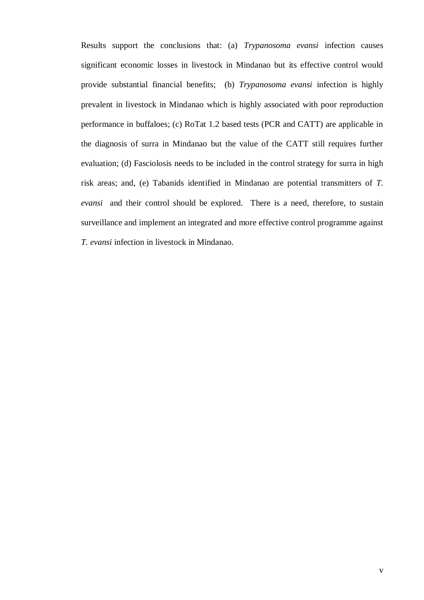Results support the conclusions that: (a) *Trypanosoma evansi* infection causes significant economic losses in livestock in Mindanao but its effective control would provide substantial financial benefits; (b) *Trypanosoma evansi* infection is highly prevalent in livestock in Mindanao which is highly associated with poor reproduction performance in buffaloes; (c) RoTat 1.2 based tests (PCR and CATT) are applicable in the diagnosis of surra in Mindanao but the value of the CATT still requires further evaluation; (d) Fasciolosis needs to be included in the control strategy for surra in high risk areas; and, (e) Tabanids identified in Mindanao are potential transmitters of *T. evansi* and their control should be explored*.* There is a need, therefore, to sustain surveillance and implement an integrated and more effective control programme against *T. evansi* infection in livestock in Mindanao.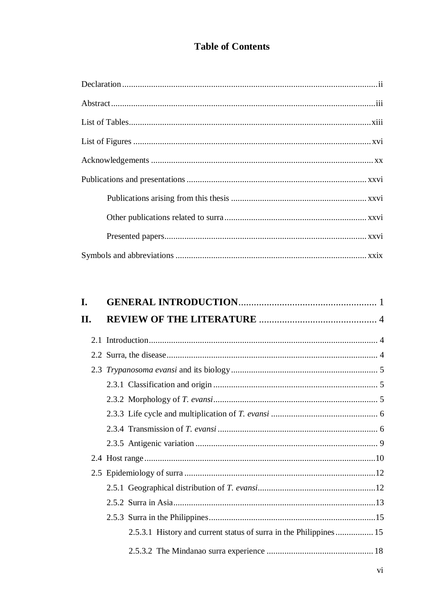## **Table of Contents**

| L.  |                                                                    |
|-----|--------------------------------------------------------------------|
| II. |                                                                    |
|     |                                                                    |
|     |                                                                    |
|     |                                                                    |
|     |                                                                    |
|     |                                                                    |
|     |                                                                    |
|     |                                                                    |
|     |                                                                    |
|     |                                                                    |
|     |                                                                    |
|     |                                                                    |
|     |                                                                    |
|     |                                                                    |
|     | 2.5.3.1 History and current status of surra in the Philippines  15 |
|     |                                                                    |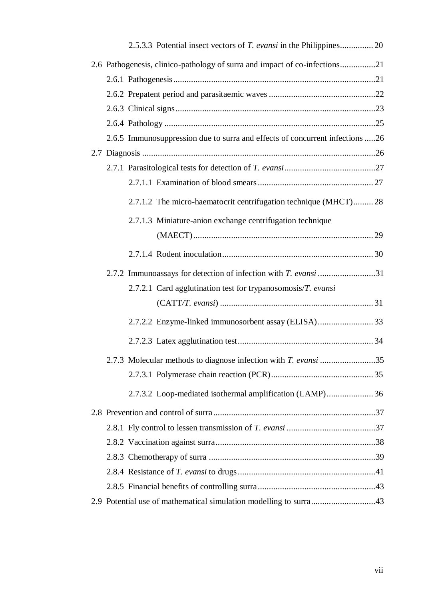| 2.6 Pathogenesis, clinico-pathology of surra and impact of co-infections21   |  |
|------------------------------------------------------------------------------|--|
|                                                                              |  |
|                                                                              |  |
|                                                                              |  |
|                                                                              |  |
| 2.6.5 Immunosuppression due to surra and effects of concurrent infections 26 |  |
|                                                                              |  |
|                                                                              |  |
|                                                                              |  |
| 2.7.1.2 The micro-haematocrit centrifugation technique (MHCT) 28             |  |
| 2.7.1.3 Miniature-anion exchange centrifugation technique                    |  |
|                                                                              |  |
|                                                                              |  |
| 2.7.2 Immunoassays for detection of infection with <i>T. evansi</i> 31       |  |
| 2.7.2.1 Card agglutination test for trypanosomosis/T. evansi                 |  |
|                                                                              |  |
| 2.7.2.2 Enzyme-linked immunosorbent assay (ELISA) 33                         |  |
|                                                                              |  |
| 2.7.3 Molecular methods to diagnose infection with T. evansi 35              |  |
|                                                                              |  |
| 2.7.3.2 Loop-mediated isothermal amplification (LAMP)36                      |  |
|                                                                              |  |
|                                                                              |  |
|                                                                              |  |
|                                                                              |  |
|                                                                              |  |
|                                                                              |  |
| 2.9 Potential use of mathematical simulation modelling to surra43            |  |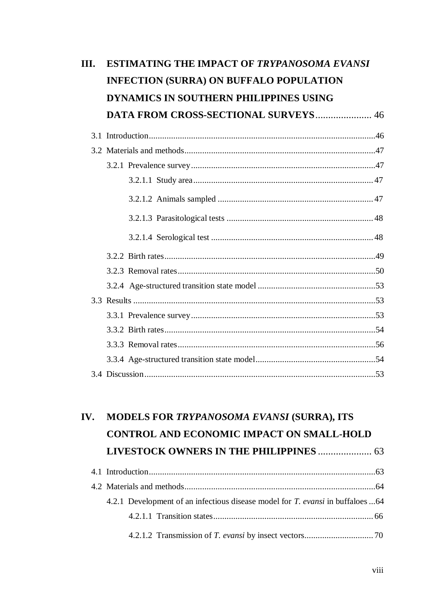| III. | <b>ESTIMATING THE IMPACT OF TRYPANOSOMA EVANSI</b> |  |
|------|----------------------------------------------------|--|
|      | <b>INFECTION (SURRA) ON BUFFALO POPULATION</b>     |  |
|      | DYNAMICS IN SOUTHERN PHILIPPINES USING             |  |
|      | <b>DATA FROM CROSS-SECTIONAL SURVEYS 46</b>        |  |
|      |                                                    |  |
|      |                                                    |  |
|      |                                                    |  |
|      |                                                    |  |
|      |                                                    |  |
|      |                                                    |  |
|      |                                                    |  |
|      |                                                    |  |
|      |                                                    |  |
|      |                                                    |  |
|      |                                                    |  |
|      |                                                    |  |
|      |                                                    |  |
|      |                                                    |  |
|      |                                                    |  |
|      |                                                    |  |

## 4.1 Introduction......................................................................................................63 4.2 Materials and methods......................................................................................64 4.2.1 Development of an infectious disease model for *T. evansi* in buffaloes...64 4.2.1.1 Transition states........................................................................ 66 4.2.1.2 Transmission of *T. evansi* by insect vectors............................... 70 **IV. MODELS FOR** *TRYPANOSOMA EVANSI* **(SURRA), ITS CONTROL AND ECONOMIC IMPACT ON SMALL-HOLD LIVESTOCK OWNERS IN THE PHILIPPINES** ..................... 63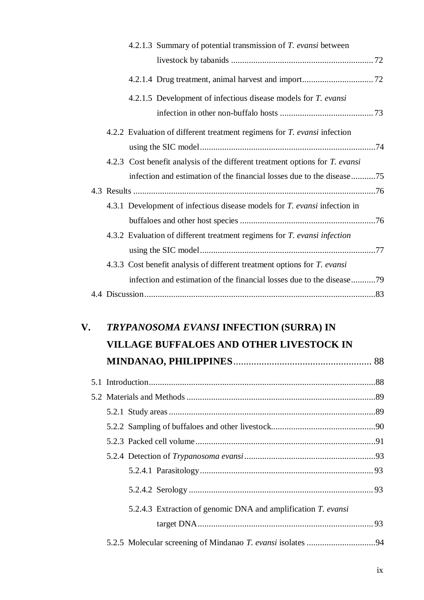|  | 4.2.1.3 Summary of potential transmission of T. evansi between                   |  |
|--|----------------------------------------------------------------------------------|--|
|  |                                                                                  |  |
|  |                                                                                  |  |
|  | 4.2.1.5 Development of infectious disease models for <i>T. evansi</i>            |  |
|  |                                                                                  |  |
|  | 4.2.2 Evaluation of different treatment regimens for T. evansi infection         |  |
|  |                                                                                  |  |
|  | 4.2.3 Cost benefit analysis of the different treatment options for T. evansi     |  |
|  | infection and estimation of the financial losses due to the disease75            |  |
|  |                                                                                  |  |
|  | 4.3.1 Development of infectious disease models for <i>T. evansi</i> infection in |  |
|  |                                                                                  |  |
|  | 4.3.2 Evaluation of different treatment regimens for T. evansi infection         |  |
|  |                                                                                  |  |
|  | 4.3.3 Cost benefit analysis of different treatment options for T. evansi         |  |
|  | infection and estimation of the financial losses due to the disease79            |  |
|  |                                                                                  |  |

## **V.** *TRYPANOSOMA EVANSI* **INFECTION (SURRA) IN VILLAGE BUFFALOES AND OTHER LIVESTOCK IN MINDANAO, PHILIPPINES**...................................................... 88

| 5.2.4.3 Extraction of genomic DNA and amplification T. evansi |  |
|---------------------------------------------------------------|--|
|                                                               |  |
|                                                               |  |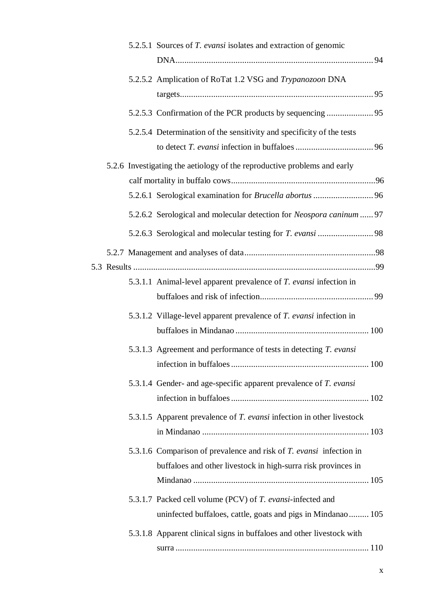|  | 5.2.5.1 Sources of T. evansi isolates and extraction of genomic                                                                      |  |
|--|--------------------------------------------------------------------------------------------------------------------------------------|--|
|  | 5.2.5.2 Amplication of RoTat 1.2 VSG and Trypanozoon DNA                                                                             |  |
|  |                                                                                                                                      |  |
|  | 5.2.5.4 Determination of the sensitivity and specificity of the tests                                                                |  |
|  | 5.2.6 Investigating the aetiology of the reproductive problems and early                                                             |  |
|  |                                                                                                                                      |  |
|  | 5.2.6.1 Serological examination for Brucella abortus  96                                                                             |  |
|  | 5.2.6.2 Serological and molecular detection for Neospora caninum  97                                                                 |  |
|  |                                                                                                                                      |  |
|  |                                                                                                                                      |  |
|  |                                                                                                                                      |  |
|  | 5.3.1.1 Animal-level apparent prevalence of <i>T. evansi</i> infection in                                                            |  |
|  |                                                                                                                                      |  |
|  | 5.3.1.2 Village-level apparent prevalence of T. evansi infection in                                                                  |  |
|  |                                                                                                                                      |  |
|  | 5.3.1.3 Agreement and performance of tests in detecting T. evansi                                                                    |  |
|  | 5.3.1.4 Gender- and age-specific apparent prevalence of T. evansi                                                                    |  |
|  |                                                                                                                                      |  |
|  | 5.3.1.5 Apparent prevalence of <i>T. evansi</i> infection in other livestock                                                         |  |
|  | 5.3.1.6 Comparison of prevalence and risk of T. evansi infection in<br>buffaloes and other livestock in high-surra risk provinces in |  |
|  |                                                                                                                                      |  |
|  | 5.3.1.7 Packed cell volume (PCV) of T. evansi-infected and                                                                           |  |
|  | uninfected buffaloes, cattle, goats and pigs in Mindanao 105                                                                         |  |
|  | 5.3.1.8 Apparent clinical signs in buffaloes and other livestock with                                                                |  |
|  |                                                                                                                                      |  |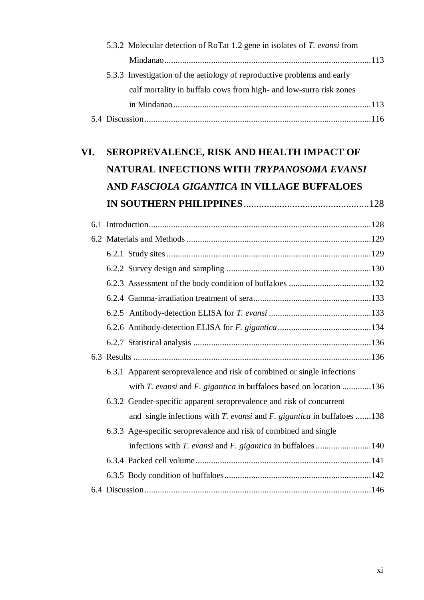|  | 5.3.2 Molecular detection of RoTat 1.2 gene in isolates of T. evansi from |  |
|--|---------------------------------------------------------------------------|--|
|  |                                                                           |  |
|  | 5.3.3 Investigation of the aetiology of reproductive problems and early   |  |
|  | calf mortality in buffalo cows from high- and low-surra risk zones        |  |
|  |                                                                           |  |
|  |                                                                           |  |

| VI. | SEROPREVALENCE, RISK AND HEALTH IMPACT OF                                    |  |  |  |  |
|-----|------------------------------------------------------------------------------|--|--|--|--|
|     | NATURAL INFECTIONS WITH TRYPANOSOMA EVANSI                                   |  |  |  |  |
|     | AND FASCIOLA GIGANTICA IN VILLAGE BUFFALOES                                  |  |  |  |  |
|     |                                                                              |  |  |  |  |
|     |                                                                              |  |  |  |  |
|     |                                                                              |  |  |  |  |
|     |                                                                              |  |  |  |  |
|     |                                                                              |  |  |  |  |
|     |                                                                              |  |  |  |  |
|     |                                                                              |  |  |  |  |
|     |                                                                              |  |  |  |  |
|     |                                                                              |  |  |  |  |
|     |                                                                              |  |  |  |  |
|     |                                                                              |  |  |  |  |
|     | 6.3.1 Apparent seroprevalence and risk of combined or single infections      |  |  |  |  |
|     | with $T$ . evansi and $F$ . gigantica in buffaloes based on location 136     |  |  |  |  |
|     | 6.3.2 Gender-specific apparent seroprevalence and risk of concurrent         |  |  |  |  |
|     | and single infections with $T$ . evansi and $F$ . gigantica in buffaloes 138 |  |  |  |  |
|     | 6.3.3 Age-specific seroprevalence and risk of combined and single            |  |  |  |  |
|     | infections with T. evansi and F. gigantica in buffaloes140                   |  |  |  |  |
|     |                                                                              |  |  |  |  |
|     |                                                                              |  |  |  |  |
|     |                                                                              |  |  |  |  |
|     |                                                                              |  |  |  |  |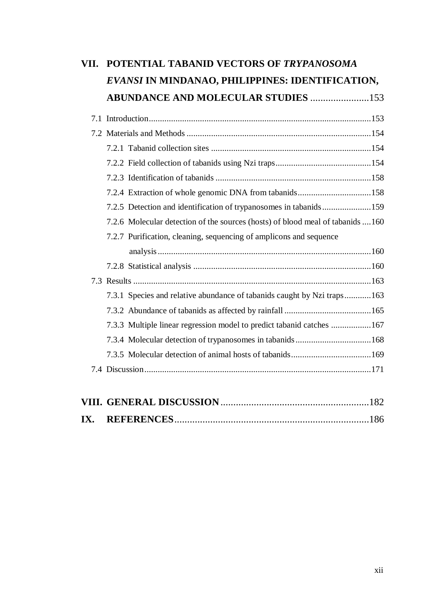| VII. | POTENTIAL TABANID VECTORS OF TRYPANOSOMA                                       |  |
|------|--------------------------------------------------------------------------------|--|
|      | EVANSI IN MINDANAO, PHILIPPINES: IDENTIFICATION,                               |  |
|      | <b>ABUNDANCE AND MOLECULAR STUDIES 153</b>                                     |  |
|      |                                                                                |  |
|      |                                                                                |  |
|      |                                                                                |  |
|      |                                                                                |  |
|      |                                                                                |  |
|      | 7.2.4 Extraction of whole genomic DNA from tabanids158                         |  |
|      | 7.2.5 Detection and identification of trypanosomes in tabanids159              |  |
|      | 7.2.6 Molecular detection of the sources (hosts) of blood meal of tabanids 160 |  |
|      | 7.2.7 Purification, cleaning, sequencing of amplicons and sequence             |  |
|      |                                                                                |  |
|      |                                                                                |  |
|      |                                                                                |  |
|      | 7.3.1 Species and relative abundance of tabanids caught by Nzi traps163        |  |
|      |                                                                                |  |
|      | 7.3.3 Multiple linear regression model to predict tabanid catches 167          |  |
|      |                                                                                |  |
|      |                                                                                |  |
|      |                                                                                |  |
|      |                                                                                |  |
| IX.  |                                                                                |  |
|      |                                                                                |  |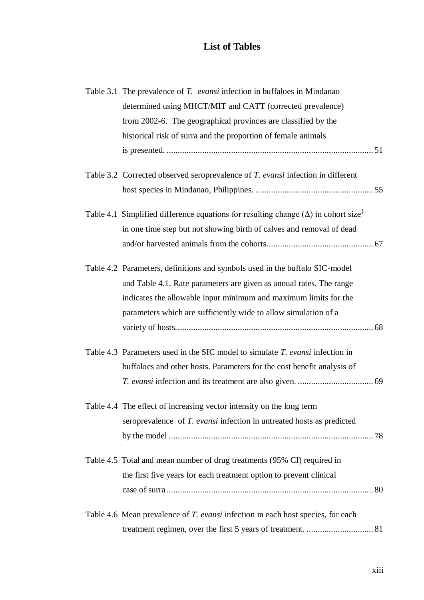### **List of Tables**

<span id="page-12-0"></span>

|  | Table 3.1 The prevalence of T. evansi infection in buffaloes in Mindanao                                |  |
|--|---------------------------------------------------------------------------------------------------------|--|
|  | determined using MHCT/MIT and CATT (corrected prevalence)                                               |  |
|  | from 2002-6. The geographical provinces are classified by the                                           |  |
|  | historical risk of surra and the proportion of female animals                                           |  |
|  |                                                                                                         |  |
|  | Table 3.2 Corrected observed seroprevalence of <i>T. evansi</i> infection in different                  |  |
|  |                                                                                                         |  |
|  | Table 4.1 Simplified difference equations for resulting change ( $\Delta$ ) in cohort size <sup>†</sup> |  |
|  | in one time step but not showing birth of calves and removal of dead                                    |  |
|  |                                                                                                         |  |
|  | Table 4.2 Parameters, definitions and symbols used in the buffalo SIC-model                             |  |
|  | and Table 4.1. Rate parameters are given as annual rates. The range                                     |  |
|  | indicates the allowable input minimum and maximum limits for the                                        |  |
|  | parameters which are sufficiently wide to allow simulation of a                                         |  |
|  |                                                                                                         |  |
|  | Table 4.3 Parameters used in the SIC model to simulate <i>T. evansi</i> infection in                    |  |
|  | buffaloes and other hosts. Parameters for the cost benefit analysis of                                  |  |
|  |                                                                                                         |  |
|  | Table 4.4 The effect of increasing vector intensity on the long term                                    |  |
|  | seroprevalence of <i>T. evansi</i> infection in untreated hosts as predicted                            |  |
|  |                                                                                                         |  |
|  | Table 4.5 Total and mean number of drug treatments (95% CI) required in                                 |  |
|  | the first five years for each treatment option to prevent clinical                                      |  |
|  |                                                                                                         |  |
|  | Table 4.6 Mean prevalence of <i>T. evansi</i> infection in each host species, for each                  |  |
|  |                                                                                                         |  |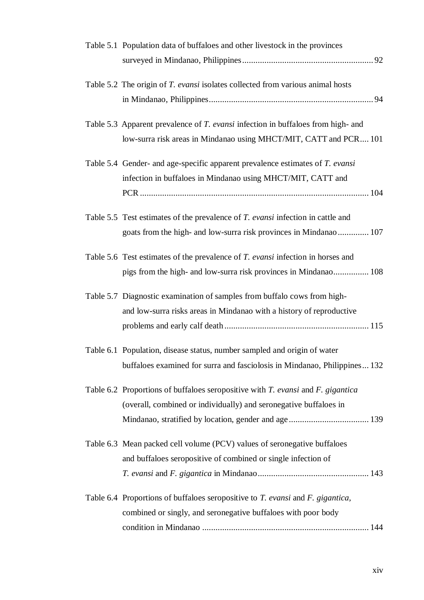| Table 5.1 Population data of buffaloes and other livestock in the provinces                   |
|-----------------------------------------------------------------------------------------------|
|                                                                                               |
| Table 5.2 The origin of T. evansi isolates collected from various animal hosts                |
|                                                                                               |
| Table 5.3 Apparent prevalence of <i>T. evansi</i> infection in buffaloes from high- and       |
| low-surra risk areas in Mindanao using MHCT/MIT, CATT and PCR 101                             |
| Table 5.4 Gender- and age-specific apparent prevalence estimates of T. evansi                 |
| infection in buffaloes in Mindanao using MHCT/MIT, CATT and                                   |
|                                                                                               |
| Table 5.5 Test estimates of the prevalence of <i>T. evansi</i> infection in cattle and        |
| goats from the high- and low-surra risk provinces in Mindanao 107                             |
| Table 5.6 Test estimates of the prevalence of T. evansi infection in horses and               |
| pigs from the high- and low-surra risk provinces in Mindanao 108                              |
| Table 5.7 Diagnostic examination of samples from buffalo cows from high-                      |
| and low-surra risks areas in Mindanao with a history of reproductive                          |
|                                                                                               |
| Table 6.1 Population, disease status, number sampled and origin of water                      |
| buffaloes examined for surra and fasciolosis in Mindanao, Philippines 132                     |
| Table 6.2 Proportions of buffaloes seropositive with <i>T. evansi</i> and <i>F. gigantica</i> |
| (overall, combined or individually) and seronegative buffaloes in                             |
|                                                                                               |
| Table 6.3 Mean packed cell volume (PCV) values of seronegative buffaloes                      |
| and buffaloes seropositive of combined or single infection of                                 |
|                                                                                               |
| Table 6.4 Proportions of buffaloes seropositive to <i>T. evansi</i> and <i>F. gigantica</i> , |
| combined or singly, and seronegative buffaloes with poor body                                 |
|                                                                                               |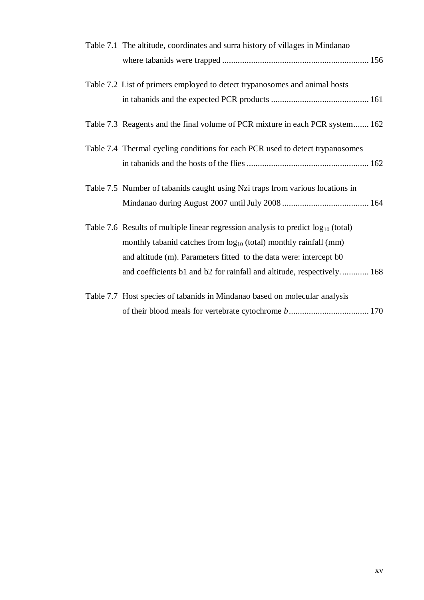| Table 7.1 The altitude, coordinates and surra history of villages in Mindanao          |
|----------------------------------------------------------------------------------------|
|                                                                                        |
| Table 7.2 List of primers employed to detect trypanosomes and animal hosts             |
|                                                                                        |
| Table 7.3 Reagents and the final volume of PCR mixture in each PCR system 162          |
| Table 7.4 Thermal cycling conditions for each PCR used to detect trypanosomes          |
|                                                                                        |
| Table 7.5 Number of tabanids caught using Nzi traps from various locations in          |
|                                                                                        |
| Table 7.6 Results of multiple linear regression analysis to predict $log_{10}$ (total) |
| monthly tabanid catches from $log_{10}$ (total) monthly rainfall (mm)                  |
| and altitude (m). Parameters fitted to the data were: intercept b0                     |
| and coefficients b1 and b2 for rainfall and altitude, respectively 168                 |
| Table 7.7 Host species of tabanids in Mindanao based on molecular analysis             |
|                                                                                        |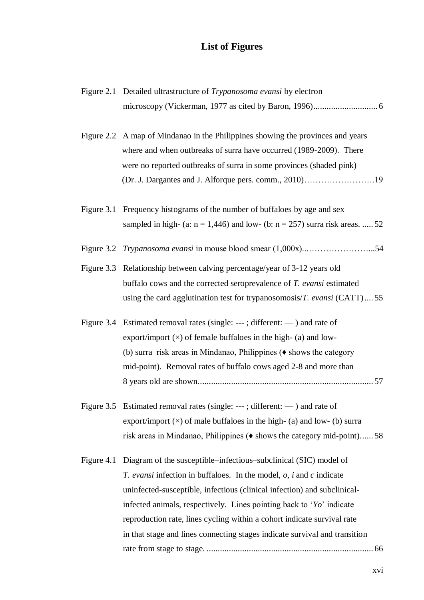## **List of Figures**

<span id="page-15-0"></span>

|            | Figure 2.1 Detailed ultrastructure of <i>Trypanosoma evansi</i> by electron             |
|------------|-----------------------------------------------------------------------------------------|
|            |                                                                                         |
|            | Figure 2.2 A map of Mindanao in the Philippines showing the provinces and years         |
|            | where and when outbreaks of surra have occurred (1989-2009). There                      |
|            | were no reported outbreaks of surra in some provinces (shaded pink)                     |
|            |                                                                                         |
| Figure 3.1 | Frequency histograms of the number of buffaloes by age and sex                          |
|            | sampled in high- (a: $n = 1,446$ ) and low- (b: $n = 257$ ) surra risk areas.  52       |
|            |                                                                                         |
|            | Figure 3.3 Relationship between calving percentage/year of 3-12 years old               |
|            | buffalo cows and the corrected seroprevalence of T. evansi estimated                    |
|            | using the card agglutination test for trypanosomosis/ $T$ . evansi (CATT) 55            |
|            | Figure 3.4 Estimated removal rates (single: ---; different: $\rightarrow$ ) and rate of |
|            | export/import $(x)$ of female buffaloes in the high- (a) and low-                       |
|            | (b) surra risk areas in Mindanao, Philippines $(\bullet\)$ shows the category           |
|            | mid-point). Removal rates of buffalo cows aged 2-8 and more than                        |
|            |                                                                                         |
|            | Figure 3.5 Estimated removal rates (single: ---; different: $\rightarrow$ ) and rate of |
|            | export/import $(x)$ of male buffaloes in the high- (a) and low- (b) surra               |
|            | risk areas in Mindanao, Philippines ( $\bullet$ shows the category mid-point) 58        |
| Figure 4.1 | Diagram of the susceptible–infectious–subclinical (SIC) model of                        |
|            | T. evansi infection in buffaloes. In the model, $o$ , i and c indicate                  |
|            | uninfected-susceptible, infectious (clinical infection) and subclinical-                |
|            | infected animals, respectively. Lines pointing back to ' <i>Yo</i> ' indicate           |
|            | reproduction rate, lines cycling within a cohort indicate survival rate                 |
|            | in that stage and lines connecting stages indicate survival and transition              |
|            |                                                                                         |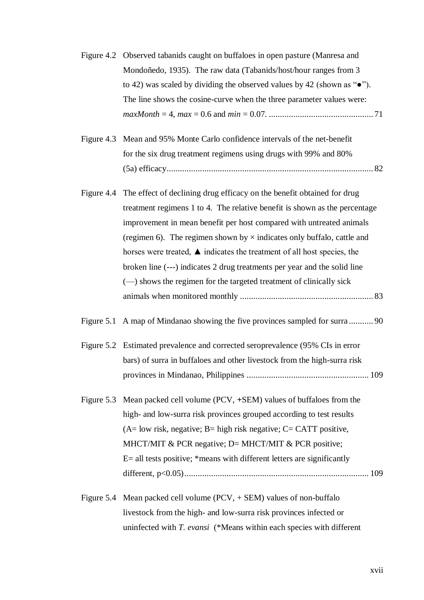|            | Figure 4.2 Observed tabanids caught on buffaloes in open pasture (Manresa and     |
|------------|-----------------------------------------------------------------------------------|
|            | Mondoñedo, 1935). The raw data (Tabanids/host/hour ranges from 3                  |
|            | to 42) was scaled by dividing the observed values by 42 (shown as " $\bullet$ "). |
|            | The line shows the cosine-curve when the three parameter values were:             |
|            |                                                                                   |
|            |                                                                                   |
|            | Figure 4.3 Mean and 95% Monte Carlo confidence intervals of the net-benefit       |
|            | for the six drug treatment regimens using drugs with 99% and 80%                  |
|            |                                                                                   |
| Figure 4.4 | The effect of declining drug efficacy on the benefit obtained for drug            |
|            | treatment regimens 1 to 4. The relative benefit is shown as the percentage        |
|            | improvement in mean benefit per host compared with untreated animals              |
|            | (regimen 6). The regimen shown by $\times$ indicates only buffalo, cattle and     |
|            | horses were treated, ▲ indicates the treatment of all host species, the           |
|            | broken line (---) indicates 2 drug treatments per year and the solid line         |
|            | (-) shows the regimen for the targeted treatment of clinically sick               |
|            |                                                                                   |
| Figure 5.1 |                                                                                   |
|            | Figure 5.2 Estimated prevalence and corrected seroprevalence (95% CIs in error    |
|            | bars) of surra in buffaloes and other livestock from the high-surra risk          |
|            |                                                                                   |
| Figure 5.3 | Mean packed cell volume (PCV, +SEM) values of buffaloes from the                  |
|            | high- and low-surra risk provinces grouped according to test results              |
|            | $(A=$ low risk, negative; B= high risk negative; C= CATT positive,                |
|            | MHCT/MIT & PCR negative; $D=$ MHCT/MIT & PCR positive;                            |
|            | $E =$ all tests positive; *means with different letters are significantly         |
|            |                                                                                   |
|            | Figure 5.4 Mean packed cell volume $(PCV, + SEM)$ values of non-buffalo           |

livestock from the high- and low-surra risk provinces infected or uninfected with *T. evansi* (\*Means within each species with different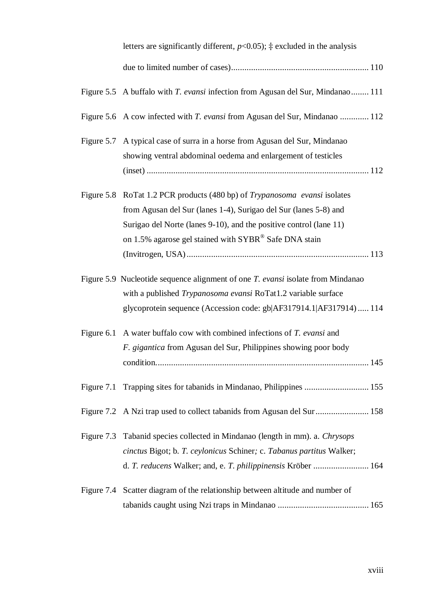| letters are significantly different, $p<0.05$ ; $\ddagger$ excluded in the analysis |  |
|-------------------------------------------------------------------------------------|--|
|                                                                                     |  |

|            | Figure 5.5 A buffalo with <i>T. evansi</i> infection from Agusan del Sur, Mindanao 111 |
|------------|----------------------------------------------------------------------------------------|
|            | Figure 5.6 A cow infected with <i>T. evansi</i> from Agusan del Sur, Mindanao  112     |
|            | Figure 5.7 A typical case of surra in a horse from Agusan del Sur, Mindanao            |
|            | showing ventral abdominal oedema and enlargement of testicles                          |
|            |                                                                                        |
|            | Figure 5.8 RoTat 1.2 PCR products (480 bp) of <i>Trypanosoma evansi</i> isolates       |
|            | from Agusan del Sur (lanes 1-4), Surigao del Sur (lanes 5-8) and                       |
|            | Surigao del Norte (lanes 9-10), and the positive control (lane 11)                     |
|            | on 1.5% agarose gel stained with SYBR® Safe DNA stain                                  |
|            |                                                                                        |
|            | Figure 5.9 Nucleotide sequence alignment of one <i>T. evansi</i> isolate from Mindanao |
|            | with a published Trypanosoma evansi RoTat1.2 variable surface                          |
|            | glycoprotein sequence (Accession code: gb AF317914.1 AF317914) 114                     |
|            | Figure 6.1 A water buffalo cow with combined infections of T. evansi and               |
|            | F. gigantica from Agusan del Sur, Philippines showing poor body                        |
|            |                                                                                        |
| Figure 7.1 | Trapping sites for tabanids in Mindanao, Philippines  155                              |
|            | Figure 7.2 A Nzi trap used to collect tabanids from Agusan del Sur  158                |
| Figure 7.3 | Tabanid species collected in Mindanao (length in mm). a. Chrysops                      |
|            | cinctus Bigot; b. T. ceylonicus Schiner; c. Tabanus partitus Walker;                   |
|            | d. T. reducens Walker; and, e. T. philippinensis Kröber  164                           |
| Figure 7.4 | Scatter diagram of the relationship between altitude and number of                     |
|            |                                                                                        |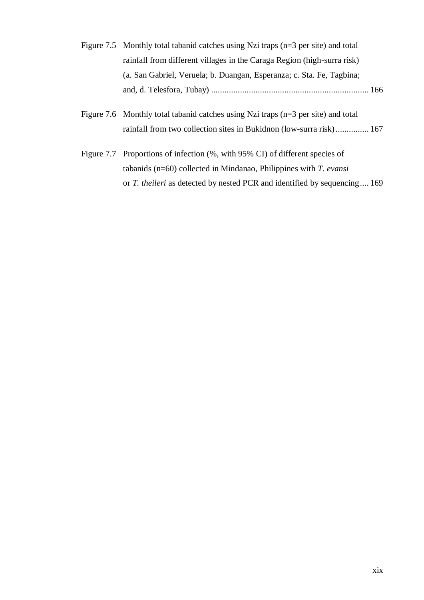- Figure 7.5 Monthly total tabanid catches using Nzi traps (n=3 per site) and total rainfall from different villages in the Caraga Region (high-surra risk) (a. San Gabriel, Veruela; b. Duangan, Esperanza; c. Sta. Fe, Tagbina; and, d. Telesfora, Tubay) ....................................................................... 166
- Figure 7.6 Monthly total tabanid catches using Nzi traps (n=3 per site) and total rainfall from two collection sites in Bukidnon (low-surra risk)............... 167
- Figure 7.7 Proportions of infection (%, with 95% CI) of different species of tabanids (n=60) collected in Mindanao, Philippines with *T. evansi* or *T. theileri* as detected by nested PCR and identified by sequencing.... 169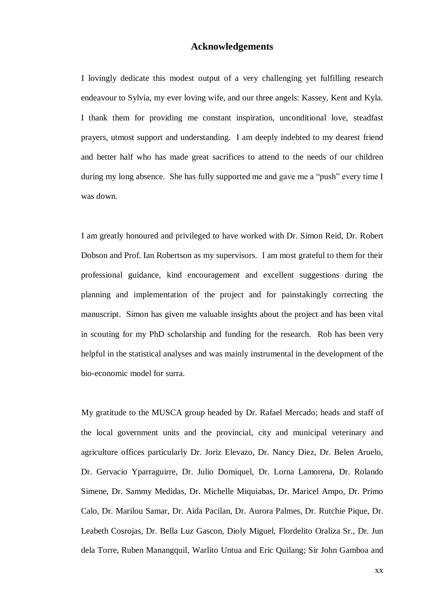#### **Acknowledgements**

<span id="page-19-0"></span>I lovingly dedicate this modest output of a very challenging yet fulfilling research endeavour to Sylvia, my ever loving wife, and our three angels: Kassey, Kent and Kyla. I thank them for providing me constant inspiration, unconditional love, steadfast prayers, utmost support and understanding. I am deeply indebted to my dearest friend and better half who has made great sacrifices to attend to the needs of our children during my long absence. She has fully supported me and gave me a "push" every time I was down.

I am greatly honoured and privileged to have worked with Dr. Simon Reid, Dr. Robert Dobson and Prof. Ian Robertson as my supervisors. I am most grateful to them for their professional guidance, kind encouragement and excellent suggestions during the planning and implementation of the project and for painstakingly correcting the manuscript. Simon has given me valuable insights about the project and has been vital in scouting for my PhD scholarship and funding for the research. Rob has been very helpful in the statistical analyses and was mainly instrumental in the development of the bio-economic model for surra.

My gratitude to the MUSCA group headed by Dr. Rafael Mercado; heads and staff of the local government units and the provincial, city and municipal veterinary and agriculture offices particularly Dr. Joriz Elevazo, Dr. Nancy Diez, Dr. Belen Aruelo, Dr. Gervacio Yparraguirre, Dr. Julio Domiquel, Dr. Lorna Lamorena, Dr. Rolando Simene, Dr. Sammy Medidas, Dr. Michelle Miquiabas, Dr. Maricel Ampo, Dr. Primo Calo, Dr. Marilou Samar, Dr. Aida Pacilan, Dr. Aurora Palmes, Dr. Rutchie Pique, Dr. Leabeth Cosrojas, Dr. Bella Luz Gascon, Dioly Miguel, Flordelito Oraliza Sr., Dr. Jun dela Torre, Ruben Manangquil, Warlito Untua and Eric Quilang; Sir John Gamboa and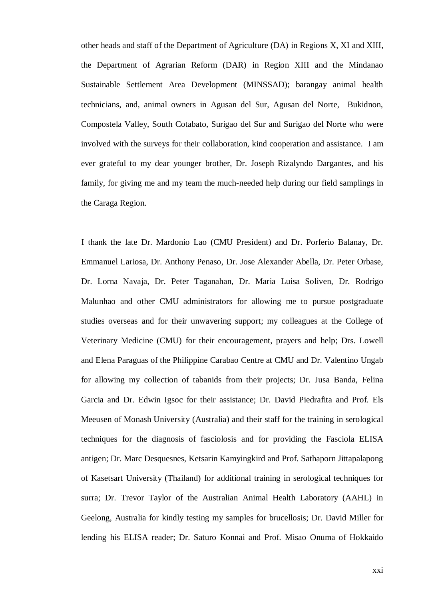other heads and staff of the Department of Agriculture (DA) in Regions X, XI and XIII, the Department of Agrarian Reform (DAR) in Region XIII and the Mindanao Sustainable Settlement Area Development (MINSSAD); barangay animal health technicians, and, animal owners in Agusan del Sur, Agusan del Norte, Bukidnon, Compostela Valley, South Cotabato, Surigao del Sur and Surigao del Norte who were involved with the surveys for their collaboration, kind cooperation and assistance. I am ever grateful to my dear younger brother, Dr. Joseph Rizalyndo Dargantes, and his family, for giving me and my team the much-needed help during our field samplings in the Caraga Region.

I thank the late Dr. Mardonio Lao (CMU President) and Dr. Porferio Balanay, Dr. Emmanuel Lariosa, Dr. Anthony Penaso, Dr. Jose Alexander Abella, Dr. Peter Orbase, Dr. Lorna Navaja, Dr. Peter Taganahan, Dr. Maria Luisa Soliven, Dr. Rodrigo Malunhao and other CMU administrators for allowing me to pursue postgraduate studies overseas and for their unwavering support; my colleagues at the College of Veterinary Medicine (CMU) for their encouragement, prayers and help; Drs. Lowell and Elena Paraguas of the Philippine Carabao Centre at CMU and Dr. Valentino Ungab for allowing my collection of tabanids from their projects; Dr. Jusa Banda, Felina Garcia and Dr. Edwin Igsoc for their assistance; Dr. David Piedrafita and Prof. Els Meeusen of Monash University (Australia) and their staff for the training in serological techniques for the diagnosis of fasciolosis and for providing the Fasciola ELISA antigen; Dr. Marc Desquesnes, Ketsarin Kamyingkird and Prof. Sathaporn Jittapalapong of Kasetsart University (Thailand) for additional training in serological techniques for surra; Dr. Trevor Taylor of the Australian Animal Health Laboratory (AAHL) in Geelong, Australia for kindly testing my samples for brucellosis; Dr. David Miller for lending his ELISA reader; Dr. Saturo Konnai and Prof. Misao Onuma of Hokkaido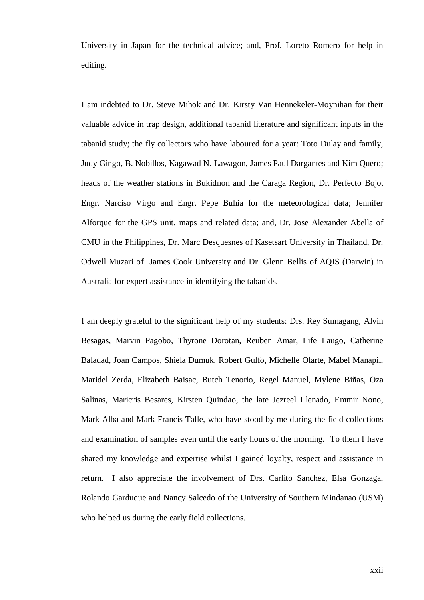University in Japan for the technical advice; and, Prof. Loreto Romero for help in editing.

I am indebted to Dr. Steve Mihok and Dr. Kirsty Van Hennekeler-Moynihan for their valuable advice in trap design, additional tabanid literature and significant inputs in the tabanid study; the fly collectors who have laboured for a year: Toto Dulay and family, Judy Gingo, B. Nobillos, Kagawad N. Lawagon, James Paul Dargantes and Kim Quero; heads of the weather stations in Bukidnon and the Caraga Region, Dr. Perfecto Bojo, Engr. Narciso Virgo and Engr. Pepe Buhia for the meteorological data; Jennifer Alforque for the GPS unit, maps and related data; and, Dr. Jose Alexander Abella of CMU in the Philippines, Dr. Marc Desquesnes of Kasetsart University in Thailand, Dr. Odwell Muzari of James Cook University and Dr. Glenn Bellis of AQIS (Darwin) in Australia for expert assistance in identifying the tabanids.

I am deeply grateful to the significant help of my students: Drs. Rey Sumagang, Alvin Besagas, Marvin Pagobo, Thyrone Dorotan, Reuben Amar, Life Laugo, Catherine Baladad, Joan Campos, Shiela Dumuk, Robert Gulfo, Michelle Olarte, Mabel Manapil, Maridel Zerda, Elizabeth Baisac, Butch Tenorio, Regel Manuel, Mylene Biñas, Oza Salinas, Maricris Besares, Kirsten Quindao, the late Jezreel Llenado, Emmir Nono, Mark Alba and Mark Francis Talle, who have stood by me during the field collections and examination of samples even until the early hours of the morning. To them I have shared my knowledge and expertise whilst I gained loyalty, respect and assistance in return. I also appreciate the involvement of Drs. Carlito Sanchez, Elsa Gonzaga, Rolando Garduque and Nancy Salcedo of the University of Southern Mindanao (USM) who helped us during the early field collections.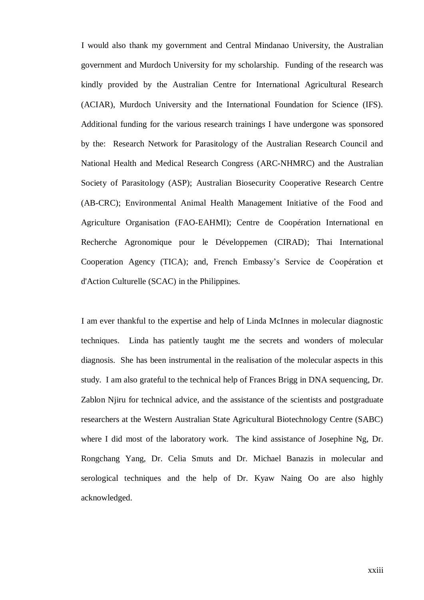I would also thank my government and Central Mindanao University, the Australian government and Murdoch University for my scholarship. Funding of the research was kindly provided by the Australian Centre for International Agricultural Research (ACIAR), Murdoch University and the International Foundation for Science (IFS). Additional funding for the various research trainings I have undergone was sponsored by the: Research Network for Parasitology of the Australian Research Council and National Health and Medical Research Congress (ARC-NHMRC) and the Australian Society of Parasitology (ASP); [Australian Biosecurity Cooperative Research Centre](http://www.animalhealthaustralia.com.au/programs/corp_activities/abcrc.cfm) (AB-CRC); Environmental Animal Health Management Initiative of the Food and Agriculture Organisation (FAO-EAHMI); Centre de Coopération International en Recherche Agronomique pour le Développemen (CIRAD); Thai International Cooperation Agency (TICA); and, French Embassy's Service de Coopération et d'Action Culturelle (SCAC) in the Philippines.

I am ever thankful to the expertise and help of Linda McInnes in molecular diagnostic techniques. Linda has patiently taught me the secrets and wonders of molecular diagnosis. She has been instrumental in the realisation of the molecular aspects in this study. I am also grateful to the technical help of Frances Brigg in DNA sequencing, Dr. Zablon Njiru for technical advice, and the assistance of the scientists and postgraduate researchers at the Western Australian State Agricultural Biotechnology Centre (SABC) where I did most of the laboratory work. The kind assistance of Josephine Ng, Dr. Rongchang Yang, Dr. Celia Smuts and Dr. Michael Banazis in molecular and serological techniques and the help of Dr. Kyaw Naing Oo are also highly acknowledged.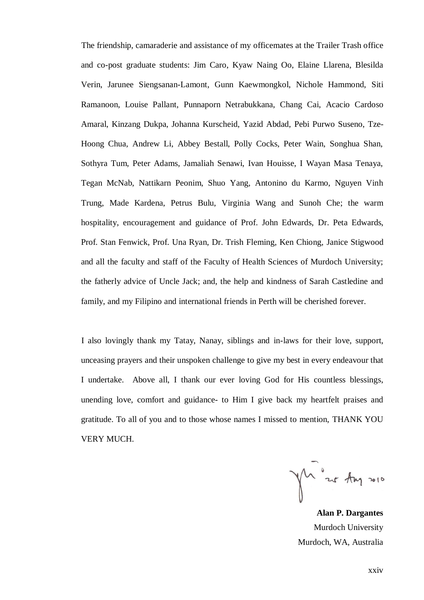The friendship, camaraderie and assistance of my officemates at the Trailer Trash office and co-post graduate students: Jim Caro, Kyaw Naing Oo, Elaine Llarena, Blesilda Verin, Jarunee Siengsanan-Lamont, Gunn Kaewmongkol, Nichole Hammond, Siti Ramanoon, Louise Pallant, Punnaporn Netrabukkana, Chang Cai, Acacio Cardoso Amaral, Kinzang Dukpa, Johanna Kurscheid, Yazid Abdad, Pebi Purwo Suseno, Tze-Hoong Chua, Andrew Li, Abbey Bestall, Polly Cocks, Peter Wain, Songhua Shan, Sothyra Tum, Peter Adams, Jamaliah Senawi, Ivan Houisse, I Wayan Masa Tenaya, Tegan McNab, Nattikarn Peonim, Shuo Yang, Antonino du Karmo, Nguyen Vinh Trung, Made Kardena, Petrus Bulu, Virginia Wang and Sunoh Che; the warm hospitality, encouragement and guidance of Prof. John Edwards, Dr. Peta Edwards, Prof. Stan Fenwick, Prof. Una Ryan, Dr. Trish Fleming, Ken Chiong, Janice Stigwood and all the faculty and staff of the Faculty of Health Sciences of Murdoch University; the fatherly advice of Uncle Jack; and, the help and kindness of Sarah Castledine and family, and my Filipino and international friends in Perth will be cherished forever.

I also lovingly thank my Tatay, Nanay, siblings and in-laws for their love, support, unceasing prayers and their unspoken challenge to give my best in every endeavour that I undertake. Above all, I thank our ever loving God for His countless blessings, unending love, comfort and guidance- to Him I give back my heartfelt praises and gratitude. To all of you and to those whose names I missed to mention, THANK YOU VERY MUCH.

yh is Any 2010

**Alan P. Dargantes** Murdoch University Murdoch, WA, Australia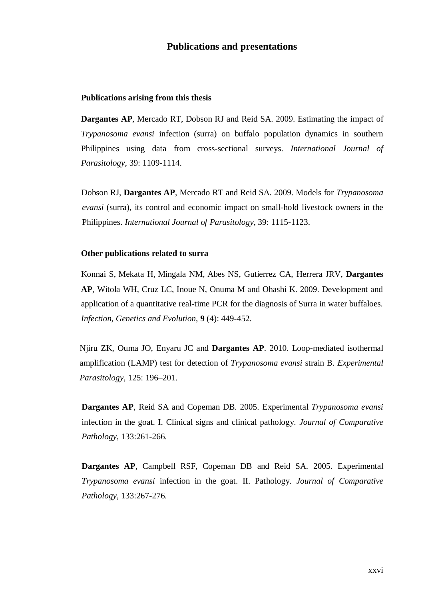#### **Publications and presentations**

#### <span id="page-25-0"></span>**Publications arising from this thesis**

**Dargantes AP**, Mercado RT, Dobson RJ and Reid SA. 2009. Estimating the impact of *Trypanosoma evansi* infection (surra) on buffalo population dynamics in southern Philippines using data from cross-sectional surveys. *International Journal of Parasitology*, 39: 1109-1114.

Dobson RJ, **Dargantes AP**, Mercado RT and Reid SA. 2009. Models for *Trypanosoma evansi* (surra), its control and economic impact on small-hold livestock owners in the Philippines. *International Journal of Parasitology*, 39: 1115-1123.

#### <span id="page-25-1"></span>**Other publications related to surra**

Konnai S, Mekata H, Mingala NM, Abes NS, Gutierrez CA, Herrera JRV, **Dargantes AP**, Witola WH, Cruz LC, Inoue N, Onuma M and Ohashi K. 2009. Development and application of a quantitative real-time PCR for the diagnosis of Surra in water buffaloes. *[Infection, Genetics and Evolution](http://0-www.sciencedirect.com.prospero.murdoch.edu.au/science/journal/15671348)*, **9** [\(4\)](http://0-www.sciencedirect.com.prospero.murdoch.edu.au/science?_ob=PublicationURL&_tockey=%23TOC%236650%232009%23999909995%231114085%23FLA%23&_cdi=6650&_pubType=J&view=c&_auth=y&_acct=C000047999&_version=1&_urlVersion=0&_userid=917906&md5=c31c1a7be00e88ac32eac4ab77bbfeb7): 449-452.

Njiru ZK, Ouma JO, Enyaru JC and **Dargantes AP**. 2010. Loop-mediated isothermal amplification (LAMP) test for detection of *Trypanosoma evansi* strain B. *Experimental Parasitology,* 125: 196–201.

<span id="page-25-2"></span>**Dargantes AP**, Reid SA and Copeman DB. 2005. Experimental *Trypanosoma evansi* infection in the goat. I. Clinical signs and clinical pathology. *Journal of Comparative Pathology*, 133:261-266.

**Dargantes AP**, Campbell RSF, Copeman DB and Reid SA. 2005. Experimental *Trypanosoma evansi* infection in the goat. II. Pathology. *Journal of Comparative Pathology*, 133:267-276.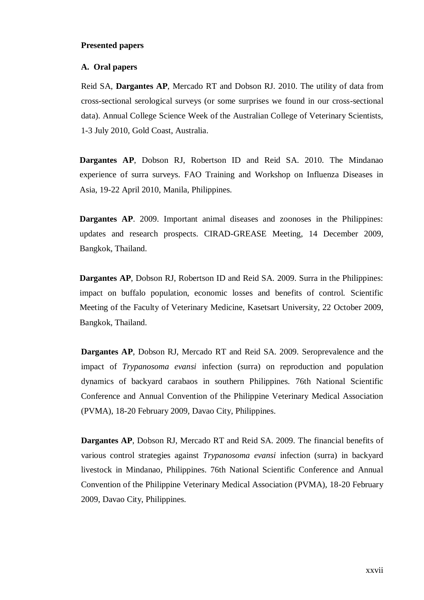#### **Presented papers**

#### **A. Oral papers**

Reid SA, **Dargantes AP**, Mercado RT and Dobson RJ. 2010. The utility of data from cross-sectional serological surveys (or some surprises we found in our cross-sectional data). Annual College Science Week of the Australian College of Veterinary Scientists, 1-3 July 2010, Gold Coast, Australia.

**Dargantes AP**, Dobson RJ, Robertson ID and Reid SA. 2010. The Mindanao experience of surra surveys. FAO Training and Workshop on Influenza Diseases in Asia, 19-22 April 2010, Manila, Philippines.

**Dargantes AP**. 2009. Important animal diseases and zoonoses in the Philippines: updates and research prospects. CIRAD-GREASE Meeting, 14 December 2009, Bangkok, Thailand.

**Dargantes AP**, Dobson RJ, Robertson ID and Reid SA. 2009. Surra in the Philippines: impact on buffalo population, economic losses and benefits of control. Scientific Meeting of the Faculty of Veterinary Medicine, Kasetsart University, 22 October 2009, Bangkok, Thailand.

**Dargantes AP**, Dobson RJ, Mercado RT and Reid SA. 2009. Seroprevalence and the impact of *Trypanosoma evansi* infection (surra) on reproduction and population dynamics of backyard carabaos in southern Philippines. 76th National Scientific Conference and Annual Convention of the Philippine Veterinary Medical Association (PVMA), 18-20 February 2009, Davao City, Philippines.

**Dargantes AP**, Dobson RJ, Mercado RT and Reid SA. 2009. The financial benefits of various control strategies against *Trypanosoma evansi* infection (surra) in backyard livestock in Mindanao, Philippines. 76th National Scientific Conference and Annual Convention of the Philippine Veterinary Medical Association (PVMA), 18-20 February 2009, Davao City, Philippines.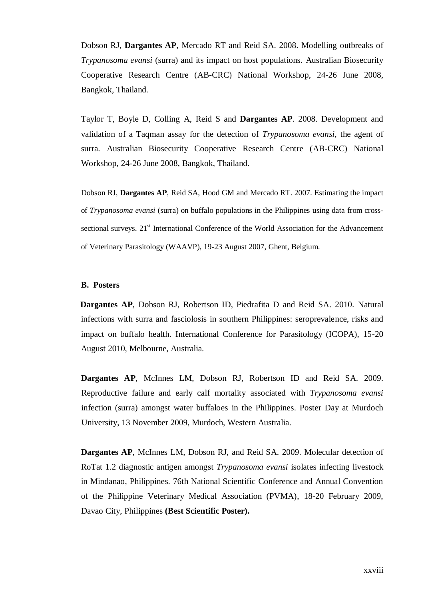Dobson RJ, **Dargantes AP**, Mercado RT and Reid SA. 2008. Modelling outbreaks of *Trypanosoma evansi* (surra) and its impact on host populations. Australian Biosecurity Cooperative Research Centre (AB-CRC) National Workshop, 24-26 June 2008, Bangkok, Thailand.

Taylor T, Boyle D, Colling A, Reid S and **Dargantes AP**. 2008. Development and validation of a Taqman assay for the detection of *Trypanosoma evansi,* the agent of surra. Australian Biosecurity Cooperative Research Centre (AB-CRC) National Workshop, 24-26 June 2008, Bangkok, Thailand.

Dobson RJ, **Dargantes AP**, Reid SA, Hood GM and Mercado RT. 2007. Estimating the impact of *Trypanosoma evansi* (surra) on buffalo populations in the Philippines using data from crosssectional surveys. 21<sup>st</sup> International Conference of the World Association for the Advancement of Veterinary Parasitology (WAAVP), 19-23 August 2007, Ghent, Belgium.

#### **B. Posters**

**Dargantes AP**, Dobson RJ, Robertson ID, Piedrafita D and Reid SA. 2010. Natural infections with surra and fasciolosis in southern Philippines: seroprevalence, risks and impact on buffalo health. International Conference for Parasitology (ICOPA), 15-20 August 2010, Melbourne, Australia.

**Dargantes AP**, McInnes LM, Dobson RJ, Robertson ID and Reid SA. 2009. Reproductive failure and early calf mortality associated with *Trypanosoma evansi* infection (surra) amongst water buffaloes in the Philippines. Poster Day at Murdoch University, 13 November 2009, Murdoch, Western Australia.

**Dargantes AP**, McInnes LM, Dobson RJ, and Reid SA. 2009. Molecular detection of RoTat 1.2 diagnostic antigen amongst *Trypanosoma evansi* isolates infecting livestock in Mindanao, Philippines. 76th National Scientific Conference and Annual Convention of the Philippine Veterinary Medical Association (PVMA), 18-20 February 2009, Davao City, Philippines **(Best Scientific Poster).**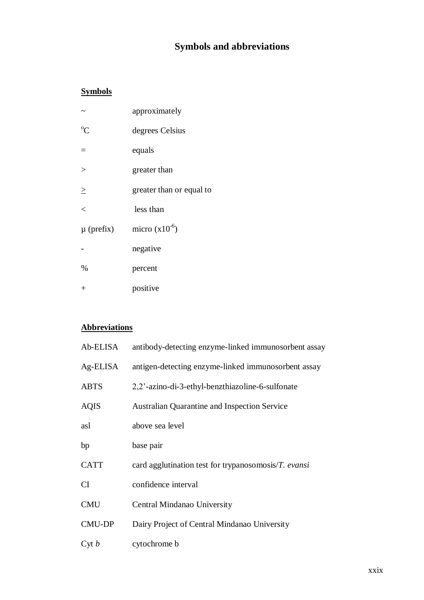## **Symbols and abbreviations**

### <span id="page-28-0"></span>**Symbols**

|                | approximately            |
|----------------|--------------------------|
| $\rm ^{o}C$    | degrees Celsius          |
|                | equals                   |
| $\geq$         | greater than             |
| $\geq$         | greater than or equal to |
| $\lt$          | less than                |
| $\mu$ (prefix) | micro $(x10^{-6})$       |
|                | negative                 |
| $\%$           | percent                  |
| $^{+}$         | positive                 |

### **Abbreviations**

| Ab-ELISA      | antibody-detecting enzyme-linked immunosorbent assay |
|---------------|------------------------------------------------------|
| Ag-ELISA      | antigen-detecting enzyme-linked immunosorbent assay  |
| <b>ABTS</b>   | 2,2'-azino-di-3-ethyl-benzthiazoline-6-sulfonate     |
| <b>AQIS</b>   | <b>Australian Quarantine and Inspection Service</b>  |
| asl           | above sea level                                      |
| bp            | base pair                                            |
| <b>CATT</b>   | card agglutination test for trypanosomosis/T. evansi |
| CI            | confidence interval                                  |
| <b>CMU</b>    | Central Mindanao University                          |
| <b>CMU-DP</b> | Dairy Project of Central Mindanao University         |
| Cyt b         | cytochrome b                                         |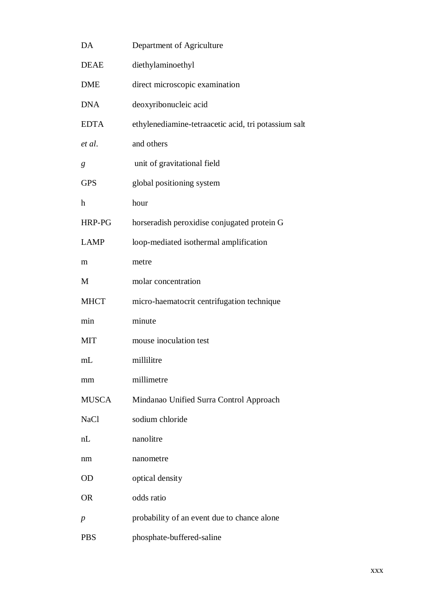| DA               | Department of Agriculture                            |
|------------------|------------------------------------------------------|
| <b>DEAE</b>      | diethylaminoethyl                                    |
| <b>DME</b>       | direct microscopic examination                       |
| <b>DNA</b>       | deoxyribonucleic acid                                |
| <b>EDTA</b>      | ethylenediamine-tetraacetic acid, tri potassium salt |
| et al.           | and others                                           |
| g                | unit of gravitational field                          |
| <b>GPS</b>       | global positioning system                            |
| h                | hour                                                 |
| HRP-PG           | horseradish peroxidise conjugated protein G          |
| <b>LAMP</b>      | loop-mediated isothermal amplification               |
| m                | metre                                                |
| M                | molar concentration                                  |
| <b>MHCT</b>      | micro-haematocrit centrifugation technique           |
| min              | minute                                               |
| <b>MIT</b>       | mouse inoculation test                               |
| mL               | millilitre                                           |
| mm               | millimetre                                           |
| <b>MUSCA</b>     | Mindanao Unified Surra Control Approach              |
| <b>NaCl</b>      | sodium chloride                                      |
| nL               | nanolitre                                            |
| nm               | nanometre                                            |
| <b>OD</b>        | optical density                                      |
| <b>OR</b>        | odds ratio                                           |
| $\boldsymbol{p}$ | probability of an event due to chance alone          |
| <b>PBS</b>       | phosphate-buffered-saline                            |